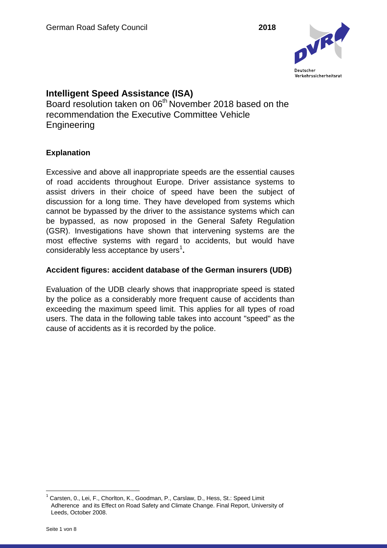

# **Intelligent Speed Assistance (ISA)**

Board resolution taken on 06<sup>th</sup> November 2018 based on the recommendation the Executive Committee Vehicle **Engineering** 

## **Explanation**

Excessive and above all inappropriate speeds are the essential causes of road accidents throughout Europe. Driver assistance systems to assist drivers in their choice of speed have been the subject of discussion for a long time. They have developed from systems which cannot be bypassed by the driver to the assistance systems which can be bypassed, as now proposed in the General Safety Regulation (GSR). Investigations have shown that intervening systems are the most effective systems with regard to accidents, but would have considerably less acceptance by users<sup>1</sup>.

### **Accident figures: accident database of the German insurers (UDB)**

Evaluation of the UDB clearly shows that inappropriate speed is stated by the police as a considerably more frequent cause of accidents than exceeding the maximum speed limit. This applies for all types of road users. The data in the following table takes into account "speed" as the cause of accidents as it is recorded by the police.

 $\overline{a}$ 

<sup>1</sup> Carsten, 0., Lei, F., Chorlton, K., Goodman, P., Carslaw, D., Hess, St.: Speed Limit Adherence and its Effect on Road Safety and Climate Change. Final Report, University of Leeds, October 2008.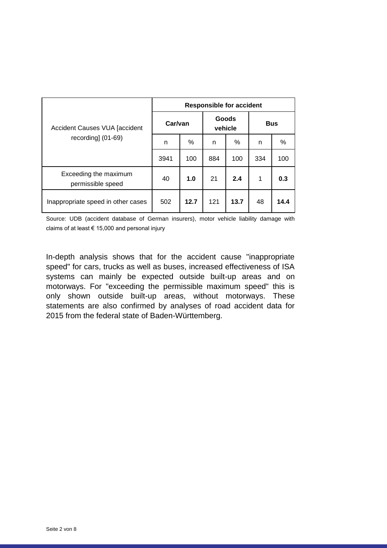| <b>Accident Causes VUA [accident</b><br>recording] (01-69) | <b>Responsible for accident</b> |      |                  |      |            |      |  |  |
|------------------------------------------------------------|---------------------------------|------|------------------|------|------------|------|--|--|
|                                                            | Car/van                         |      | Goods<br>vehicle |      | <b>Bus</b> |      |  |  |
|                                                            | n                               | $\%$ | n                | %    | n          | %    |  |  |
|                                                            | 3941                            | 100  | 884              | 100  | 334        | 100  |  |  |
| Exceeding the maximum<br>permissible speed                 | 40                              | 1.0  | 21               | 2.4  | 1          | 0.3  |  |  |
| Inappropriate speed in other cases                         | 502                             | 12.7 | 121              | 13.7 | 48         | 14.4 |  |  |

Source: UDB (accident database of German insurers), motor vehicle liability damage with claims of at least  $\epsilon$  15,000 and personal injury

In-depth analysis shows that for the accident cause "inappropriate speed" for cars, trucks as well as buses, increased effectiveness of ISA systems can mainly be expected outside built-up areas and on motorways. For "exceeding the permissible maximum speed" this is only shown outside built-up areas, without motorways. These statements are also confirmed by analyses of road accident data for 2015 from the federal state of Baden-Württemberg.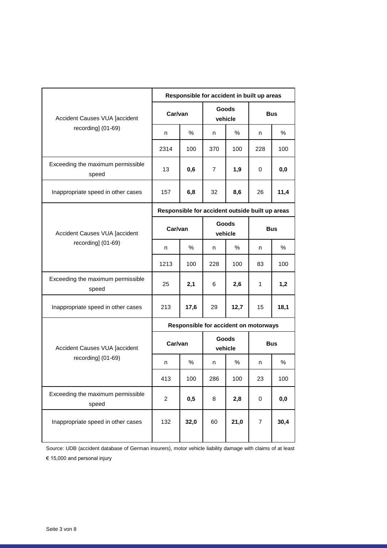| Accident Causes VUA [accident<br>recording] (01-69) | Responsible for accident in built up areas      |      |                         |      |                |      |  |  |
|-----------------------------------------------------|-------------------------------------------------|------|-------------------------|------|----------------|------|--|--|
|                                                     | Car/van                                         |      | <b>Goods</b><br>vehicle |      | <b>Bus</b>     |      |  |  |
|                                                     | n                                               | %    | n                       | $\%$ | n              | $\%$ |  |  |
|                                                     | 2314                                            | 100  | 370                     | 100  | 228            | 100  |  |  |
| Exceeding the maximum permissible<br>speed          | 13                                              | 0,6  | 7                       | 1,9  | 0              | 0,0  |  |  |
| Inappropriate speed in other cases                  | 157                                             | 6,8  | 32                      | 8,6  | 26             | 11,4 |  |  |
| Accident Causes VUA [accident<br>recording] (01-69) | Responsible for accident outside built up areas |      |                         |      |                |      |  |  |
|                                                     | Car/van                                         |      | Goods<br>vehicle        |      | <b>Bus</b>     |      |  |  |
|                                                     | n                                               | $\%$ | n                       | %    | n              | ℅    |  |  |
|                                                     | 1213                                            | 100  | 228                     | 100  | 83             | 100  |  |  |
| Exceeding the maximum permissible<br>speed          | 25                                              | 2,1  | 6                       | 2,6  | 1              | 1,2  |  |  |
| Inappropriate speed in other cases                  | 213                                             | 17,6 | 29                      | 12,7 | 15             | 18,1 |  |  |
| Accident Causes VUA [accident<br>recording] (01-69) | Responsible for accident on motorways           |      |                         |      |                |      |  |  |
|                                                     | Car/van                                         |      | Goods<br>vehicle        |      | <b>Bus</b>     |      |  |  |
|                                                     | n                                               | %    | n                       | %    | n              | ℅    |  |  |
|                                                     | 413                                             | 100  | 286                     | 100  | 23             | 100  |  |  |
| Exceeding the maximum permissible<br>speed          | $\overline{c}$                                  | 0,5  | 8                       | 2,8  | 0              | 0,0  |  |  |
| Inappropriate speed in other cases                  | 132                                             | 32,0 | 60                      | 21,0 | $\overline{7}$ | 30,4 |  |  |

Source: UDB (accident database of German insurers), motor vehicle liability damage with claims of at least € 15,000 and personal injury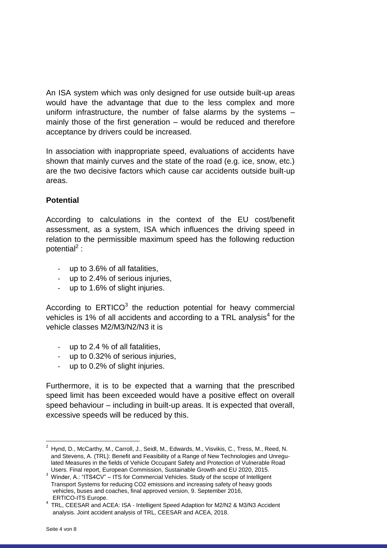An ISA system which was only designed for use outside built-up areas would have the advantage that due to the less complex and more uniform infrastructure, the number of false alarms by the systems – mainly those of the first generation – would be reduced and therefore acceptance by drivers could be increased.

In association with inappropriate speed, evaluations of accidents have shown that mainly curves and the state of the road (e.g. ice, snow, etc.) are the two decisive factors which cause car accidents outside built-up areas.

## **Potential**

According to calculations in the context of the EU cost/benefit assessment, as a system, ISA which influences the driving speed in relation to the permissible maximum speed has the following reduction potential<sup>2</sup>:

- up to 3.6% of all fatalities,
- up to 2.4% of serious injuries,
- up to 1.6% of slight injuries.

According to  $ERTICO<sup>3</sup>$  the reduction potential for heavy commercial vehicles is 1% of all accidents and according to a TRL analysis<sup>4</sup> for the vehicle classes M2/M3/N2/N3 it is

- up to 2.4 % of all fatalities,
- up to 0.32% of serious injuries,
- up to 0.2% of slight injuries.

Furthermore, it is to be expected that a warning that the prescribed speed limit has been exceeded would have a positive effect on overall speed behaviour – including in built-up areas. It is expected that overall, excessive speeds will be reduced by this.

 $\overline{a}$ 

<sup>2</sup> Hynd, D., McCarthy, M., Carroll, J., Seidl, M., Edwards, M., Visvikis, C., Tress, M., Reed, N. and Stevens, A. (TRL): Benefit and Feasibility of a Range of New Technologies and Unregu lated Measures in the fields of Vehicle Occupant Safety and Protection of Vulnerable Road Users. Final report, European Commission, Sustainable Growth and EU 2020, 2015.

 $3$  Winder, A.: "ITS4CV" – ITS for Commercial Vehicles. Study of the scope of Intelligent Transport Systems for reducing CO2 emissions and increasing safety of heavy goods vehicles, buses and coaches, final approved version, 9. September 2016, ERTICO-ITS Europe.

<sup>4</sup> TRL, CEESAR and ACEA: ISA ‐ Intelligent Speed Adaption for M2/N2 & M3/N3 Accident analysis. Joint accident analysis of TRL, CEESAR and ACEA, 2018.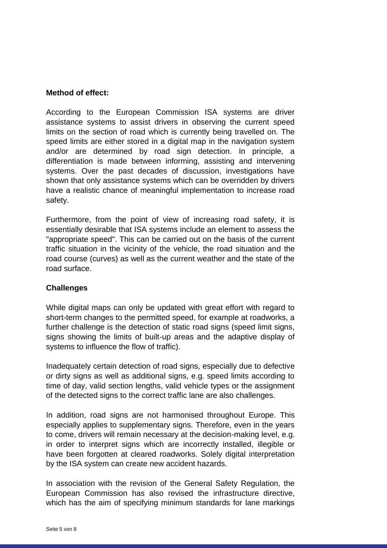#### **Method of effect:**

According to the European Commission ISA systems are driver assistance systems to assist drivers in observing the current speed limits on the section of road which is currently being travelled on. The speed limits are either stored in a digital map in the navigation system and/or are determined by road sign detection. In principle, a differentiation is made between informing, assisting and intervening systems. Over the past decades of discussion, investigations have shown that only assistance systems which can be overridden by drivers have a realistic chance of meaningful implementation to increase road safety.

Furthermore, from the point of view of increasing road safety, it is essentially desirable that ISA systems include an element to assess the "appropriate speed". This can be carried out on the basis of the current traffic situation in the vicinity of the vehicle, the road situation and the road course (curves) as well as the current weather and the state of the road surface.

#### **Challenges**

While digital maps can only be updated with great effort with regard to short-term changes to the permitted speed, for example at roadworks, a further challenge is the detection of static road signs (speed limit signs, signs showing the limits of built-up areas and the adaptive display of systems to influence the flow of traffic).

Inadequately certain detection of road signs, especially due to defective or dirty signs as well as additional signs, e.g. speed limits according to time of day, valid section lengths, valid vehicle types or the assignment of the detected signs to the correct traffic lane are also challenges.

In addition, road signs are not harmonised throughout Europe. This especially applies to supplementary signs. Therefore, even in the years to come, drivers will remain necessary at the decision-making level, e.g. in order to interpret signs which are incorrectly installed, illegible or have been forgotten at cleared roadworks. Solely digital interpretation by the ISA system can create new accident hazards.

In association with the revision of the General Safety Regulation, the European Commission has also revised the infrastructure directive, which has the aim of specifying minimum standards for lane markings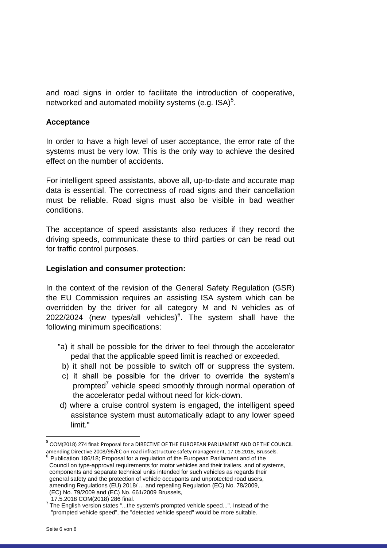and road signs in order to facilitate the introduction of cooperative, networked and automated mobility systems (e.g. ISA) $5$ .

#### **Acceptance**

In order to have a high level of user acceptance, the error rate of the systems must be very low. This is the only way to achieve the desired effect on the number of accidents.

For intelligent speed assistants, above all, up-to-date and accurate map data is essential. The correctness of road signs and their cancellation must be reliable. Road signs must also be visible in bad weather conditions.

The acceptance of speed assistants also reduces if they record the driving speeds, communicate these to third parties or can be read out for traffic control purposes.

#### **Legislation and consumer protection:**

In the context of the revision of the General Safety Regulation (GSR) the EU Commission requires an assisting ISA system which can be overridden by the driver for all category M and N vehicles as of 2022/2024 (new types/all vehicles) $6$ . The system shall have the following minimum specifications:

- "a) it shall be possible for the driver to feel through the accelerator pedal that the applicable speed limit is reached or exceeded.
- b) it shall not be possible to switch off or suppress the system.
- c) it shall be possible for the driver to override the system's prompted<sup>7</sup> vehicle speed smoothly through normal operation of the accelerator pedal without need for kick-down.
- d) where a cruise control system is engaged, the intelligent speed assistance system must automatically adapt to any lower speed limit."

 $\overline{a}$ 

<sup>&</sup>lt;sup>5</sup> COM(2018) 274 final: Proposal for a DIRECTIVE OF THE EUROPEAN PARLIAMENT AND OF THE COUNCIL amending Directive 2008/96/EC on road infrastructure safety management, 17.05.2018, Brussels.

 $6$  Publication 186/18; Proposal for a regulation of the European Parliament and of the Council on type-approval requirements for motor vehicles and their trailers, and of systems, components and separate technical units intended for such vehicles as regards their general safety and the protection of vehicle occupants and unprotected road users, amending Regulations (EU) 2018/ ... and repealing Regulation (EC) No. 78/2009, (EC) No. 79/2009 and (EC) No. 661/2009 Brussels,

 <sup>17.5.2018</sup> COM(2018) 286 final.

 $7$  The English version states "...the system's prompted vehicle speed...". Instead of the "prompted vehicle speed", the "detected vehicle speed" would be more suitable.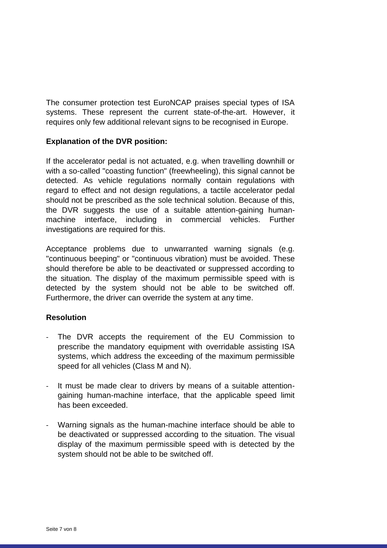The consumer protection test EuroNCAP praises special types of ISA systems. These represent the current state-of-the-art. However, it requires only few additional relevant signs to be recognised in Europe.

### **Explanation of the DVR position:**

If the accelerator pedal is not actuated, e.g. when travelling downhill or with a so-called "coasting function" (freewheeling), this signal cannot be detected. As vehicle regulations normally contain regulations with regard to effect and not design regulations, a tactile accelerator pedal should not be prescribed as the sole technical solution. Because of this, the DVR suggests the use of a suitable attention-gaining humanmachine interface, including in commercial vehicles. Further investigations are required for this.

Acceptance problems due to unwarranted warning signals (e.g. "continuous beeping" or "continuous vibration) must be avoided. These should therefore be able to be deactivated or suppressed according to the situation. The display of the maximum permissible speed with is detected by the system should not be able to be switched off. Furthermore, the driver can override the system at any time.

#### **Resolution**

- The DVR accepts the requirement of the EU Commission to prescribe the mandatory equipment with overridable assisting ISA systems, which address the exceeding of the maximum permissible speed for all vehicles (Class M and N).
- It must be made clear to drivers by means of a suitable attentiongaining human-machine interface, that the applicable speed limit has been exceeded.
- Warning signals as the human-machine interface should be able to be deactivated or suppressed according to the situation. The visual display of the maximum permissible speed with is detected by the system should not be able to be switched off.